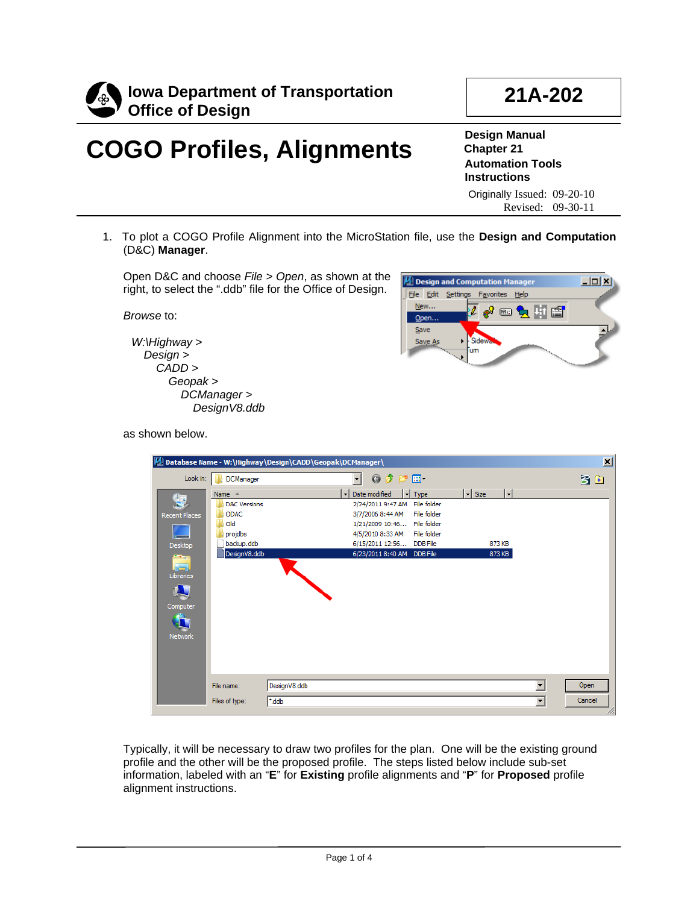

# **COGO Profiles, Alignments**

**Design Manual Chapter 21 Automation Tools Instructions** Originally Issued: 09-20-10

Revised: 09-30-11

**21A-202**

1. To plot a COGO Profile Alignment into the MicroStation file, use the **Design and Computation** (D&C) **Manager**.

Open D&C and choose *File > Open*, as shown at the right, to select the ".ddb" file for the Office of Design.

*Browse* to:

*W:\Highway > Design > CADD > Geopak > DCManager > DesignV8.ddb*



as shown below.

| M Database Name - W:\Highway\Design\CADD\Geopak\DCManager\<br>$\mathbf{x}$ |                         |                                                                                              |        |  |  |
|----------------------------------------------------------------------------|-------------------------|----------------------------------------------------------------------------------------------|--------|--|--|
| Look in:                                                                   | <b>DCManager</b>        | $0$ $0$ $0$ $m$<br>$\overline{\phantom{a}}$                                                  | 3 图    |  |  |
|                                                                            | Name $\triangle$        | $\vert$ - $\vert$<br>$\mathbf{F}$ Size<br>$\mathbf{F}$<br>Date modified<br>$\mathbf{r}$ Type |        |  |  |
| 4                                                                          | <b>D&amp;C Versions</b> | 2/24/2011 9:47 AM<br>File folder                                                             |        |  |  |
| <b>Recent Places</b>                                                       | <b>ODAC</b>             | 3/7/2006 8:44 AM<br>File folder                                                              |        |  |  |
|                                                                            | Old                     | File folder<br>1/21/2009 10:46                                                               |        |  |  |
|                                                                            | projdbs                 | 4/5/2010 8:33 AM<br>File folder                                                              |        |  |  |
| Desktop                                                                    | backup.ddb              | 6/15/2011 12:56 DDB File<br>873 KB                                                           |        |  |  |
|                                                                            | DesignV8.ddb            | 873 KB<br>6/23/2011 8:40 AM DDB File                                                         |        |  |  |
| Ă                                                                          |                         |                                                                                              |        |  |  |
| Libraries                                                                  |                         |                                                                                              |        |  |  |
| L                                                                          |                         |                                                                                              |        |  |  |
|                                                                            |                         |                                                                                              |        |  |  |
| Computer                                                                   |                         |                                                                                              |        |  |  |
| $\frac{1}{2}$<br>$\mathbf{\Gamma}$                                         |                         |                                                                                              |        |  |  |
|                                                                            |                         |                                                                                              |        |  |  |
| Network                                                                    |                         |                                                                                              |        |  |  |
|                                                                            |                         |                                                                                              |        |  |  |
|                                                                            |                         |                                                                                              |        |  |  |
|                                                                            |                         |                                                                                              |        |  |  |
|                                                                            |                         | $\overline{\phantom{a}}$                                                                     |        |  |  |
|                                                                            | File name:              | DesignV8.ddb                                                                                 | Open   |  |  |
|                                                                            | Files of type:          | $\overline{\phantom{a}}$<br>*.ddb                                                            | Cancel |  |  |
|                                                                            |                         |                                                                                              | /i.    |  |  |

Typically, it will be necessary to draw two profiles for the plan. One will be the existing ground profile and the other will be the proposed profile. The steps listed below include sub-set information, labeled with an "**E**" for **Existing** profile alignments and "**P**" for **Proposed** profile alignment instructions.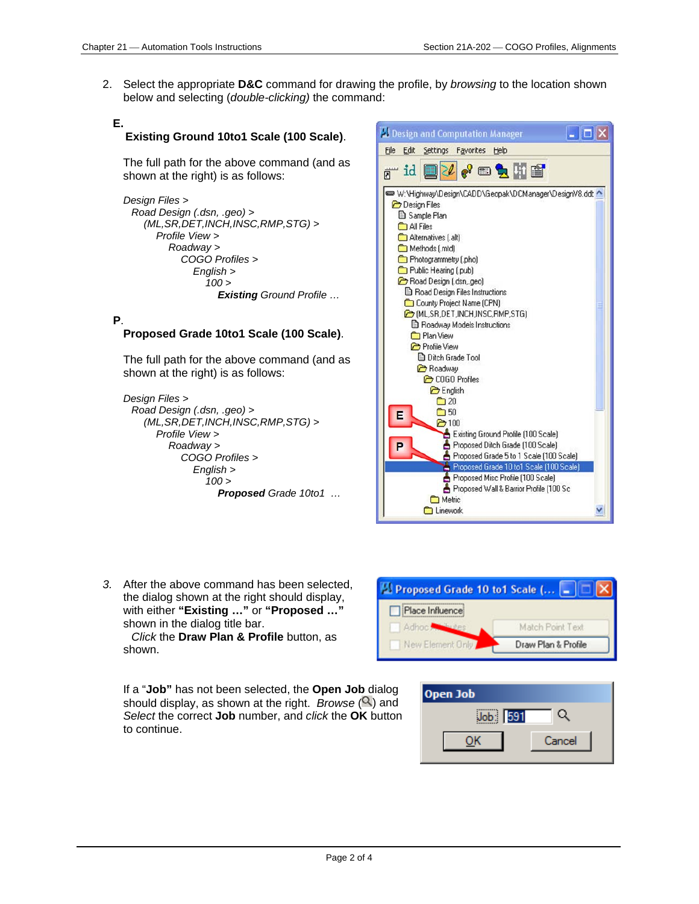2. Select the appropriate **D&C** command for drawing the profile, by *browsing* to the location shown below and selecting (*double-clicking)* the command:

#### **E. Existing Ground 10to1 Scale (100 Scale)**.

The full path for the above command (and as shown at the right) is as follows:

*Design Files > Road Design (.dsn, .geo) > (ML,SR,DET,INCH,INSC,RMP,STG) > Profile View > Roadway > COGO Profiles > English > 100 > Existing Ground Profile …*

#### **P**.

#### **Proposed Grade 10to1 Scale (100 Scale)**.

The full path for the above command (and as shown at the right) is as follows:

*Design Files > Road Design (.dsn, .geo) > (ML,SR,DET,INCH,INSC,RMP,STG) > Profile View > Roadway > COGO Profiles > English > 100 > Proposed Grade 10to1 …*



*3.* After the above command has been selected, the dialog shown at the right should display, with either **"Existing …"** or **"Proposed …"**  shown in the dialog title bar.

*Click* the **Draw Plan & Profile** button, as shown.

If a "**Job"** has not been selected, the **Open Job** dialog should display, as shown at the right. *Browse*  $(2)$  and *Select* the correct **Job** number, and *click* the **OK** button to continue.



| Open Job |        |  |
|----------|--------|--|
| Job: 591 |        |  |
|          | Cancel |  |
|          |        |  |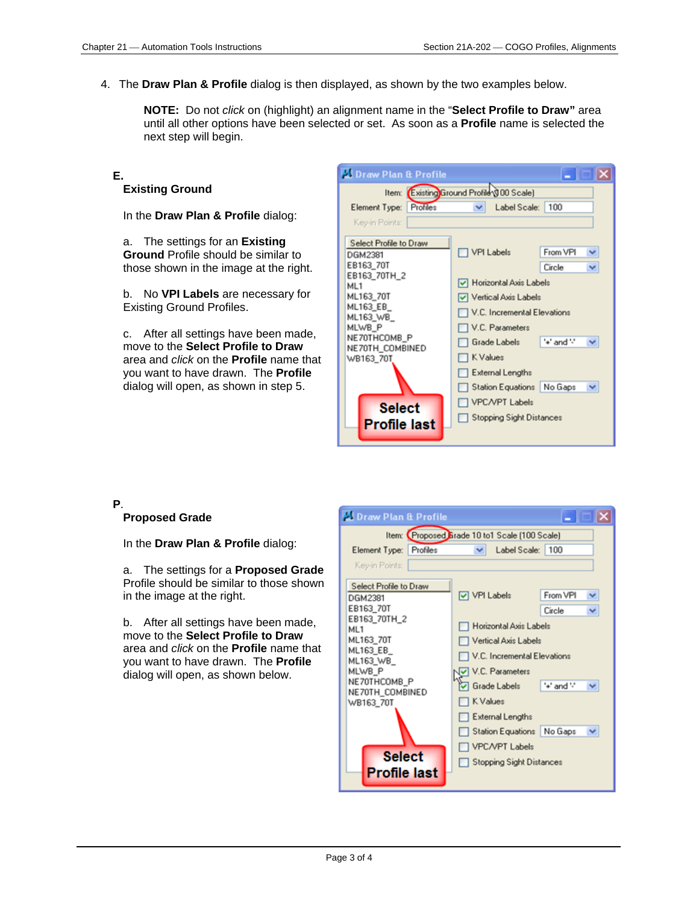4. The **Draw Plan & Profile** dialog is then displayed, as shown by the two examples below.

**NOTE:** Do not *click* on (highlight) an alignment name in the "**Select Profile to Draw"** area until all other options have been selected or set. As soon as a **Profile** name is selected the next step will begin.

### **E.**

#### **Existing Ground**

In the **Draw Plan & Profile** dialog:

a. The settings for an **Existing Ground** Profile should be similar to those shown in the image at the right.

b. No **VPI Labels** are necessary for Existing Ground Profiles.

c. After all settings have been made, move to the **Select Profile to Draw**  area and *click* on the **Profile** name that you want to have drawn. The **Profile** dialog will open, as shown in step 5.

| <b>Li Draw Plan &amp; Profile</b>                              |                             |                              |  |  |  |  |
|----------------------------------------------------------------|-----------------------------|------------------------------|--|--|--|--|
| Item: Existing Ground Profile (100 Scale)                      |                             |                              |  |  |  |  |
| Profiles<br>Element Type:                                      | Label Scale:   100<br>v     |                              |  |  |  |  |
| Key-in Points:                                                 |                             |                              |  |  |  |  |
| Select Profile to Draw<br>DGM2381<br>EB163 70T<br>EB163_70TH_2 | VPI Labels                  | From VPI<br>◡<br>Circle<br>v |  |  |  |  |
| ML1                                                            | Morizontal Axis Labels      |                              |  |  |  |  |
| ML163_70T<br>ML163 EB_                                         | Vertical Axis Labels        |                              |  |  |  |  |
| ML163_WB_                                                      | V.C. Incremental Elevations |                              |  |  |  |  |
| MLWB_P<br>NE70THCOMB_P                                         | V.C. Parameters             |                              |  |  |  |  |
| NE70TH_COMBINED                                                | Grade Labels                | '+' and '-'<br>◡             |  |  |  |  |
| WB163_70T                                                      | □ K Values                  |                              |  |  |  |  |
|                                                                | External Lengths            |                              |  |  |  |  |
|                                                                | Station Equations   No Gaps | v                            |  |  |  |  |
| <b>Select</b>                                                  | VPC/VPT Labels              |                              |  |  |  |  |
| <b>Profile last</b>                                            | Stopping Sight Distances    |                              |  |  |  |  |

#### **P**.

#### **Proposed Grade**

In the **Draw Plan & Profile** dialog:

a. The settings for a **Proposed Grade** Profile should be similar to those shown in the image at the right.

b. After all settings have been made, move to the **Select Profile to Draw**  area and *click* on the **Profile** name that you want to have drawn. The **Profile** dialog will open, as shown below.

| <b>Draw Plan &amp; Profile</b>                                                                                                               |                                                                                                                                                                                                                          |  |  |  |  |  |
|----------------------------------------------------------------------------------------------------------------------------------------------|--------------------------------------------------------------------------------------------------------------------------------------------------------------------------------------------------------------------------|--|--|--|--|--|
| Item: Proposed Firade 10 to1 Scale (100 Scale)                                                                                               |                                                                                                                                                                                                                          |  |  |  |  |  |
| Element Type:<br>Profiles                                                                                                                    | Label Scale:   100                                                                                                                                                                                                       |  |  |  |  |  |
| Key-in Points:                                                                                                                               |                                                                                                                                                                                                                          |  |  |  |  |  |
| Select Profile to Draw<br>DGM2381                                                                                                            | From VPI<br>VPI Labels<br>v                                                                                                                                                                                              |  |  |  |  |  |
| EB163_70T<br>EB163_70TH_2<br>ML <sub>1</sub><br>ML163_70T<br>ML163 EB<br>ML163_WB_<br>MLWB P<br>NE70THCOMB_P<br>NE70TH COMBINED<br>WB163_70T | Circle<br>v<br>Horizontal Axis Labels<br>Vertical Axis Labels<br>V.C. Incremental Elevations<br>V.C. Parameters<br>"+" and ""<br>▽ Grade Labels<br>×<br>K Values<br>External Lengths<br>Station Equations   No Gaps<br>v |  |  |  |  |  |
| <b>Select</b><br><b>Profile last</b>                                                                                                         | VPC/VPT Labels<br><b>Stopping Sight Distances</b>                                                                                                                                                                        |  |  |  |  |  |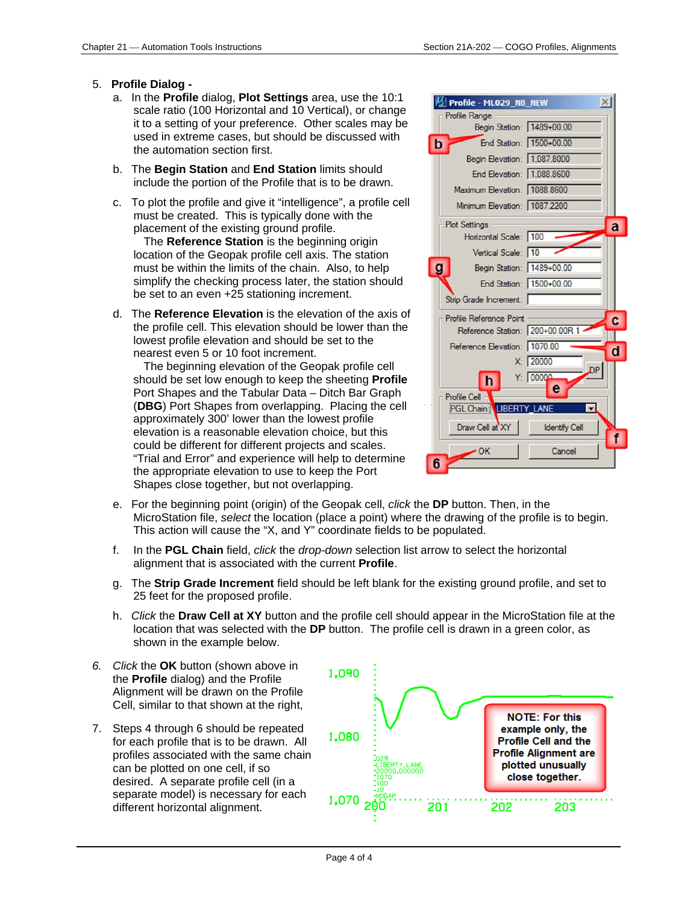#### 5. **Profile Dialog -**

- a. In the **Profile** dialog, **Plot Settings** area, use the 10:1 scale ratio (100 Horizontal and 10 Vertical), or change it to a setting of your preference. Other scales may be used in extreme cases, but should be discussed with the automation section first.
- b. The **Begin Station** and **End Station** limits should include the portion of the Profile that is to be drawn.
- c. To plot the profile and give it "intelligence", a profile cell must be created. This is typically done with the placement of the existing ground profile.

The **Reference Station** is the beginning origin location of the Geopak profile cell axis. The station must be within the limits of the chain. Also, to help simplify the checking process later, the station should be set to an even +25 stationing increment.

d. The **Reference Elevation** is the elevation of the axis of the profile cell. This elevation should be lower than the lowest profile elevation and should be set to the nearest even 5 or 10 foot increment.

The beginning elevation of the Geopak profile cell should be set low enough to keep the sheeting **Profile**  Port Shapes and the Tabular Data – Ditch Bar Graph (**DBG**) Port Shapes from overlapping. Placing the cell approximately 300' lower than the lowest profile elevation is a reasonable elevation choice, but this could be different for different projects and scales. "Trial and Error" and experience will help to determine the appropriate elevation to use to keep the Port Shapes close together, but not overlapping.

| Profile - ML029_NB_NEW          | $\times$             |
|---------------------------------|----------------------|
| Profile Range                   |                      |
| Begin Station: 1489+00.00       |                      |
| End Station: 1500+00.00<br>b    |                      |
| Begin Elevation: 1,087.8000     |                      |
| End Elevation: 1,088.8600       |                      |
| Maximum Elevation: 1088.8600    |                      |
| Minimum Elevation: 1087.2200    |                      |
| <b>Plot Settings</b>            | a                    |
| Horizontal Scale: 100           |                      |
| Vertical Scale: 10              |                      |
| g<br>Begin Station: 1489+00.00  |                      |
| End Station: 1500+00.00         |                      |
| Strip Grade Increment:          |                      |
| Profile Reference Point         |                      |
| Reference Station: 200+00.00R 1 |                      |
| Reference Elevation: 1070.00    | o                    |
| X: 20000                        |                      |
| Y: 00000<br>h                   |                      |
| Profile Cell                    | е                    |
| <b>PGL Chain: LIBERTY_LANE</b>  |                      |
| Draw Cell at XY                 | <b>Identify Cell</b> |
| $\overline{\phantom{0}}$ OK     | Cancel               |
|                                 |                      |

- e. For the beginning point (origin) of the Geopak cell, *click* the **DP** button. Then, in the MicroStation file, *select* the location (place a point) where the drawing of the profile is to begin. This action will cause the "X, and Y" coordinate fields to be populated.
- f. In the **PGL Chain** field, *click* the *drop-down* selection list arrow to select the horizontal alignment that is associated with the current **Profile**.
- g. The **Strip Grade Increment** field should be left blank for the existing ground profile, and set to 25 feet for the proposed profile.
- h. *Click* the **Draw Cell at XY** button and the profile cell should appear in the MicroStation file at the location that was selected with the **DP** button. The profile cell is drawn in a green color, as shown in the example below.
- *6. Click* the **OK** button (shown above in the **Profile** dialog) and the Profile Alignment will be drawn on the Profile Cell, similar to that shown at the right,
- 7. Steps 4 through 6 should be repeated for each profile that is to be drawn. All profiles associated with the same chain can be plotted on one cell, if so desired. A separate profile cell (in a separate model) is necessary for each different horizontal alignment.